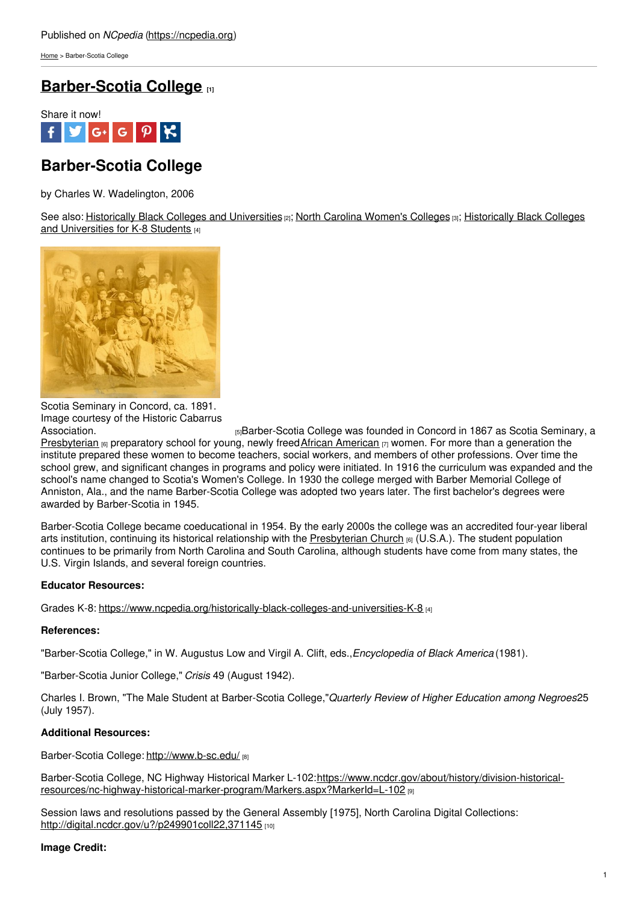[Home](https://ncpedia.org/) > Barber-Scotia College

# **[Barber-Scotia](https://ncpedia.org/barber-scotia-college) College [1]**



# **Barber-Scotia College**

by Charles W. Wadelington, 2006

See also: Historically Black Colleges and [Universities](https://www.ncpedia.org/historically-black-colleges-and-universities-K-8) [2]; North Carolina [Women's](https://ncpedia.org/education/womens-colleges) Colleges [3]; Historically Black Colleges and Universities for K-8 Students [4]



Scotia Seminary in Concord, ca. 1891. Image courtesy of the Historic Cabarrus

[Association.](http://www.historiccabarrus.org/scotia_seminary.php) **Example 2** Exercise 15 and the series of the series of the seminary and the seminary, a Association [Presbyterian](https://ncpedia.org/presbyterian-church-0) [6] preparatory school for young, newly freed African [American](https://ncpedia.org/african-americans/introduction) [7] women. For more than a generation the institute prepared these women to become teachers, social workers, and members of other professions. Over time the school grew, and significant changes in programs and policy were initiated. In 1916 the curriculum was expanded and the school's name changed to Scotia's Women's College. In 1930 the college merged with Barber Memorial College of Anniston, Ala., and the name Barber-Scotia College was adopted two years later. The first bachelor's degrees were awarded by Barber-Scotia in 1945.

Barber-Scotia College became coeducational in 1954. By the early 2000s the college was an accredited four-year liberal arts institution, continuing its historical relationship with the [Presbyterian](https://ncpedia.org/presbyterian-church-0) Church  $_{[6]}$  (U.S.A.). The student population continues to be primarily from North Carolina and South Carolina, although students have come from many states, the U.S. Virgin Islands, and several foreign countries.

## **Educator Resources:**

Grades K-8: <https://www.ncpedia.org/historically-black-colleges-and-universities-K-8> [4]

## **References:**

"Barber-Scotia College," in W. Augustus Low and Virgil A. Clift, eds.,*Encyclopedia of Black America* (1981).

"Barber-Scotia Junior College," *Crisis* 49 (August 1942).

Charles I. Brown, "The Male Student at Barber-Scotia College,"*Quarterly Review of Higher Education among Negroes*25 (July 1957).

## **Additional Resources:**

Barber-Scotia College: <http://www.b-sc.edu/> [8]

Barber-Scotia College, NC Highway Historical Marker L-102:https://www.ncdcr.gov/about/history/division-historical[resources/nc-highway-historical-marker-program/Markers.aspx?MarkerId=L-102](https://www.ncdcr.gov/about/history/division-historical-resources/nc-highway-historical-marker-program/Markers.aspx?MarkerId=L-102) [9]

Session laws and resolutions passed by the General Assembly [1975], North Carolina Digital Collections: <http://digital.ncdcr.gov/u?/p249901coll22,371145>

#### **Image Credit:**